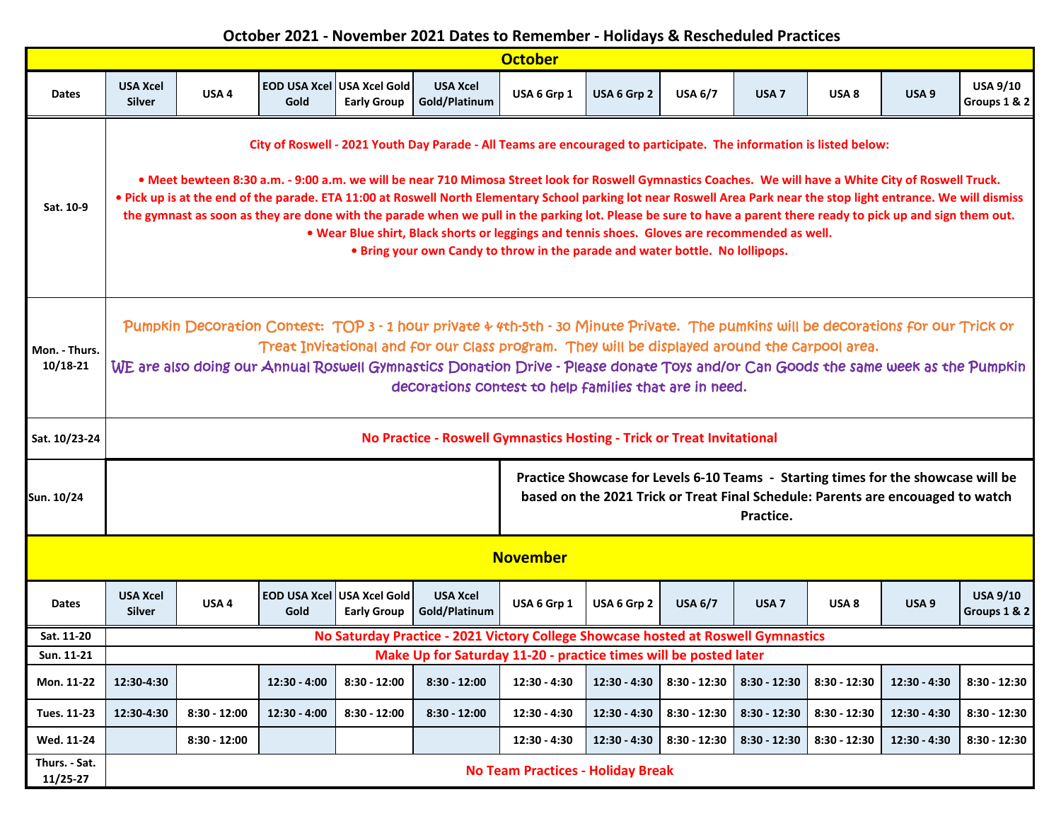## **October 2021 - November 2021 Dates to Remember - Holidays & Rescheduled Practices**

| <b>October</b>                |                                                                                                                                                                                                                                                                                                                                                                                                                                                                                                                                                                                                                                                                                                                                                                                                             |                  |                |                                                   |                                  |              |                |                |                  |                  |                  |                                 |
|-------------------------------|-------------------------------------------------------------------------------------------------------------------------------------------------------------------------------------------------------------------------------------------------------------------------------------------------------------------------------------------------------------------------------------------------------------------------------------------------------------------------------------------------------------------------------------------------------------------------------------------------------------------------------------------------------------------------------------------------------------------------------------------------------------------------------------------------------------|------------------|----------------|---------------------------------------------------|----------------------------------|--------------|----------------|----------------|------------------|------------------|------------------|---------------------------------|
| <b>Dates</b>                  | <b>USA Xcel</b><br><b>Silver</b>                                                                                                                                                                                                                                                                                                                                                                                                                                                                                                                                                                                                                                                                                                                                                                            | USA <sub>4</sub> | Gold           | EOD USA Xcel LUSA Xcel Gold<br><b>Early Group</b> | <b>USA Xcel</b><br>Gold/Platinum | USA 6 Grp 1  | USA 6 Grp 2    | <b>USA 6/7</b> | USA <sub>7</sub> | USA <sub>8</sub> | USA <sub>9</sub> | <b>USA 9/10</b><br>Groups 1 & 2 |
| Sat. 10-9                     | City of Roswell - 2021 Youth Day Parade - All Teams are encouraged to participate. The information is listed below:<br>• Meet bewteen 8:30 a.m. - 9:00 a.m. we will be near 710 Mimosa Street look for Roswell Gymnastics Coaches. We will have a White City of Roswell Truck.<br>. Pick up is at the end of the parade. ETA 11:00 at Roswell North Elementary School parking lot near Roswell Area Park near the stop light entrance. We will dismiss<br>the gymnast as soon as they are done with the parade when we pull in the parking lot. Please be sure to have a parent there ready to pick up and sign them out.<br>. Wear Blue shirt, Black shorts or leggings and tennis shoes. Gloves are recommended as well.<br>. Bring your own Candy to throw in the parade and water bottle. No lollipops. |                  |                |                                                   |                                  |              |                |                |                  |                  |                  |                                 |
| Mon. - Thurs.<br>$10/18 - 21$ | Pumpkin Decoration Contest: TOP 3 - 1 hour private + 4th-5th - 30 Minute Private. The pumkins will be decorations for our Trick or<br>Treat Invitational and for our class program. They will be displayed around the Carpool area.<br>WE are also doing our Annual Roswell Gymnastics Donation Drive - Please donate Toys and/or Can Goods the same week as the Pumpkin<br>decorations contest to help families that are in need.                                                                                                                                                                                                                                                                                                                                                                          |                  |                |                                                   |                                  |              |                |                |                  |                  |                  |                                 |
| Sat. 10/23-24                 | No Practice - Roswell Gymnastics Hosting - Trick or Treat Invitational                                                                                                                                                                                                                                                                                                                                                                                                                                                                                                                                                                                                                                                                                                                                      |                  |                |                                                   |                                  |              |                |                |                  |                  |                  |                                 |
| Sun. 10/24                    | Practice Showcase for Levels 6-10 Teams - Starting times for the showcase will be<br>based on the 2021 Trick or Treat Final Schedule: Parents are encouaged to watch<br>Practice.                                                                                                                                                                                                                                                                                                                                                                                                                                                                                                                                                                                                                           |                  |                |                                                   |                                  |              |                |                |                  |                  |                  |                                 |
| <b>November</b>               |                                                                                                                                                                                                                                                                                                                                                                                                                                                                                                                                                                                                                                                                                                                                                                                                             |                  |                |                                                   |                                  |              |                |                |                  |                  |                  |                                 |
| Dates                         | <b>USA Xcel</b><br><b>Silver</b>                                                                                                                                                                                                                                                                                                                                                                                                                                                                                                                                                                                                                                                                                                                                                                            | USA 4            | Gold           | EOD USA Xcel USA Xcel Gold<br><b>Early Group</b>  | <b>USA Xcel</b><br>Gold/Platinum | USA 6 Grp 1  | USA 6 Grp 2    | USA $6/7$      | USA <sub>7</sub> | USA <sub>8</sub> | USA <sub>9</sub> | <b>USA 9/10</b><br>Groups 1 & 2 |
| Sat. 11-20                    | No Saturday Practice - 2021 Victory College Showcase hosted at Roswell Gymnastics                                                                                                                                                                                                                                                                                                                                                                                                                                                                                                                                                                                                                                                                                                                           |                  |                |                                                   |                                  |              |                |                |                  |                  |                  |                                 |
| Sun. 11-21                    | Make Up for Saturday 11-20 - practice times will be posted later                                                                                                                                                                                                                                                                                                                                                                                                                                                                                                                                                                                                                                                                                                                                            |                  |                |                                                   |                                  |              |                |                |                  |                  |                  |                                 |
| Mon. 11-22                    | 12:30-4:30                                                                                                                                                                                                                                                                                                                                                                                                                                                                                                                                                                                                                                                                                                                                                                                                  |                  | 12:30 - 4:00   | $8:30 - 12:00$                                    | $8:30 - 12:00$                   | 12:30 - 4:30 | $12:30 - 4:30$ | 8:30 - 12:30   | $8:30 - 12:30$   | $8:30 - 12:30$   | $12:30 - 4:30$   | $8:30 - 12:30$                  |
| Tues. 11-23                   | 12:30-4:30                                                                                                                                                                                                                                                                                                                                                                                                                                                                                                                                                                                                                                                                                                                                                                                                  | $8:30 - 12:00$   | $12:30 - 4:00$ | $8:30 - 12:00$                                    | $8:30 - 12:00$                   | 12:30 - 4:30 | $12:30 - 4:30$ | 8:30 - 12:30   | $8:30 - 12:30$   | 8:30 - 12:30     | $12:30 - 4:30$   | $8:30 - 12:30$                  |
| Wed. 11-24                    |                                                                                                                                                                                                                                                                                                                                                                                                                                                                                                                                                                                                                                                                                                                                                                                                             | $8:30 - 12:00$   |                |                                                   |                                  | 12:30 - 4:30 | 12:30 - 4:30   | 8:30 - 12:30   | $8:30 - 12:30$   | 8:30 - 12:30     | $12:30 - 4:30$   | $8:30 - 12:30$                  |
| Thurs. - Sat.<br>11/25-27     | <b>No Team Practices - Holiday Break</b>                                                                                                                                                                                                                                                                                                                                                                                                                                                                                                                                                                                                                                                                                                                                                                    |                  |                |                                                   |                                  |              |                |                |                  |                  |                  |                                 |